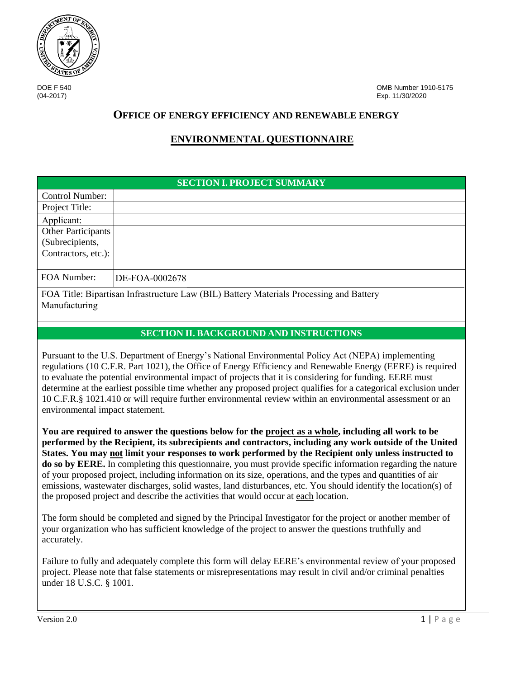

DOE F 540 OMB Number 1910-5175 (04-2017) Exp. 11/30/2020

# **OFFICE OF ENERGY EFFICIENCY AND RENEWABLE ENERGY**

# **ENVIRONMENTAL QUESTIONNAIRE**

|                                                              | <b>SECTION I. PROJECT SUMMARY</b>                                                       |
|--------------------------------------------------------------|-----------------------------------------------------------------------------------------|
| Control Number:                                              |                                                                                         |
| Project Title:                                               |                                                                                         |
| Applicant:                                                   |                                                                                         |
| Other Participants<br>(Subrecipients,<br>Contractors, etc.): |                                                                                         |
| FOA Number:                                                  | DE-FOA-0002678                                                                          |
| Manufacturing                                                | FOA Title: Bipartisan Infrastructure Law (BIL) Battery Materials Processing and Battery |

# **SECTION II. BACKGROUND AND INSTRUCTIONS**

Pursuant to the U.S. Department of Energy's National Environmental Policy Act (NEPA) implementing regulations (10 C.F.R. Part 1021), the Office of Energy Efficiency and Renewable Energy (EERE) is required to evaluate the potential environmental impact of projects that it is considering for funding. EERE must determine at the earliest possible time whether any proposed project qualifies for a categorical exclusion under 10 C.F.R.§ 1021.410 or will require further environmental review within an environmental assessment or an environmental impact statement.

**You are required to answer the questions below for the project as a whole, including all work to be performed by the Recipient, its subrecipients and contractors, including any work outside of the United States. You may not limit your responses to work performed by the Recipient only unless instructed to do so by EERE.** In completing this questionnaire, you must provide specific information regarding the nature of your proposed project, including information on its size, operations, and the types and quantities of air emissions, wastewater discharges, solid wastes, land disturbances, etc. You should identify the location(s) of the proposed project and describe the activities that would occur at each location.

The form should be completed and signed by the Principal Investigator for the project or another member of your organization who has sufficient knowledge of the project to answer the questions truthfully and accurately.

Failure to fully and adequately complete this form will delay EERE's environmental review of your proposed project. Please note that false statements or misrepresentations may result in civil and/or criminal penalties under 18 U.S.C. § 1001.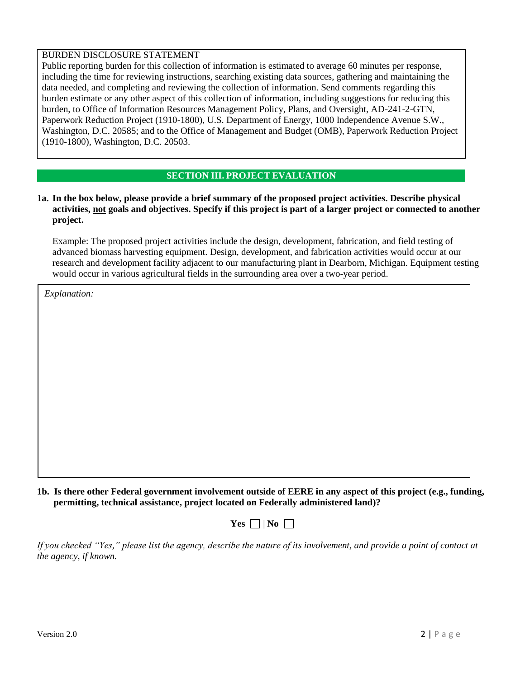#### BURDEN DISCLOSURE STATEMENT

Public reporting burden for this collection of information is estimated to average 60 minutes per response, including the time for reviewing instructions, searching existing data sources, gathering and maintaining the data needed, and completing and reviewing the collection of information. Send comments regarding this burden estimate or any other aspect of this collection of information, including suggestions for reducing this burden, to Office of Information Resources Management Policy, Plans, and Oversight, AD-241-2-GTN, Paperwork Reduction Project (1910-1800), U.S. Department of Energy, 1000 Independence Avenue S.W., Washington, D.C. 20585; and to the Office of Management and Budget (OMB), Paperwork Reduction Project (1910-1800), Washington, D.C. 20503.

#### **SECTION III. PROJECT EVALUATION**

#### **1a. In the box below, please provide a brief summary of the proposed project activities. Describe physical activities, not goals and objectives. Specify if this project is part of a larger project or connected to another project.**

Example: The proposed project activities include the design, development, fabrication, and field testing of advanced biomass harvesting equipment. Design, development, and fabrication activities would occur at our research and development facility adjacent to our manufacturing plant in Dearborn, Michigan. Equipment testing would occur in various agricultural fields in the surrounding area over a two-year period.

*Explanation:*

**1b. Is there other Federal government involvement outside of EERE in any aspect of this project (e.g., funding, permitting, technical assistance, project located on Federally administered land)?**



*If you checked "Yes," please list the agency, describe the nature of its involvement, and provide a point of contact at the agency, if known.*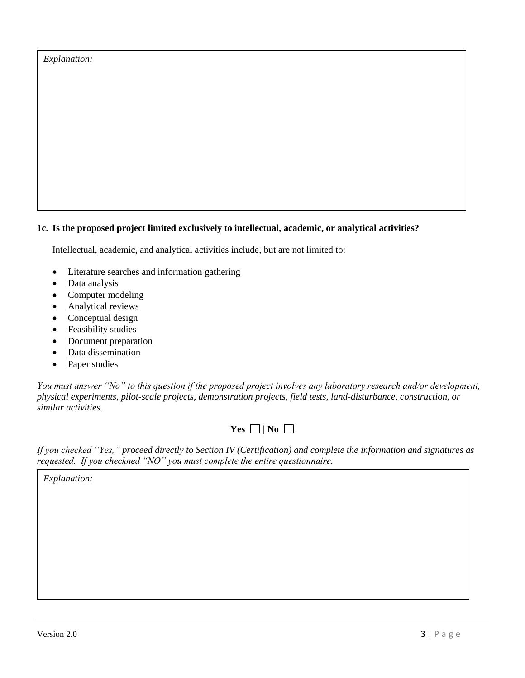| <i>Explanation:</i> |
|---------------------|
|---------------------|

# **1c. Is the proposed project limited exclusively to intellectual, academic, or analytical activities?**

Intellectual, academic, and analytical activities include, but are not limited to:

- Literature searches and information gathering
- Data analysis
- Computer modeling
- Analytical reviews
- Conceptual design
- Feasibility studies
- Document preparation
- Data dissemination
- Paper studies

*You must answer "No" to this question if the proposed project involves any laboratory research and/or development, physical experiments, pilot-scale projects, demonstration projects, field tests, land-disturbance, construction, or similar activities.* 

 $Yes \Box | No \Box$ 

*If you checked "Yes," proceed directly to Section IV (Certification) and complete the information and signatures as requested. If you checkned "NO" you must complete the entire questionnaire.*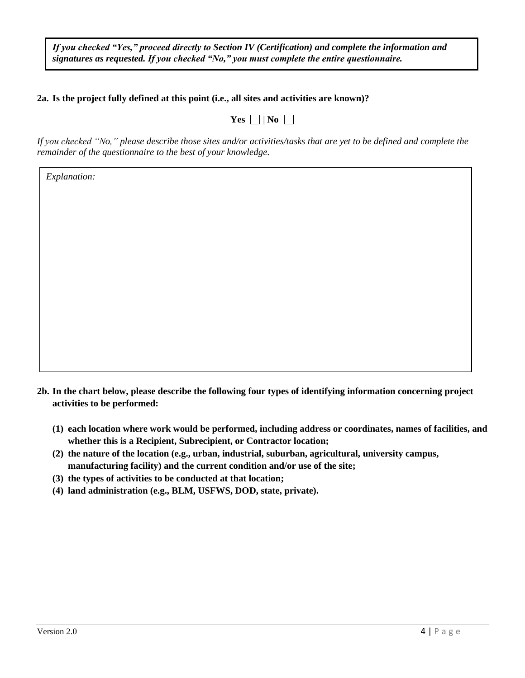*If you checked "Yes," proceed directly to Section IV (Certification) and complete the information and signatures as requested. If you checked "No," you must complete the entire questionnaire.*

## **2a. Is the project fully defined at this point (i.e., all sites and activities are known)?**

| ш<br>N.<br>--<br>÷ |  |
|--------------------|--|
|--------------------|--|

*If you checked "No," please describe those sites and/or activities/tasks that are yet to be defined and complete the remainder of the questionnaire to the best of your knowledge.* 

- **2b. In the chart below, please describe the following four types of identifying information concerning project activities to be performed:** 
	- **(1) each location where work would be performed, including address or coordinates, names of facilities, and whether this is a Recipient, Subrecipient, or Contractor location;**
	- **(2) the nature of the location (e.g., urban, industrial, suburban, agricultural, university campus, manufacturing facility) and the current condition and/or use of the site;**
	- **(3) the types of activities to be conducted at that location;**
	- **(4) land administration (e.g., BLM, USFWS, DOD, state, private).**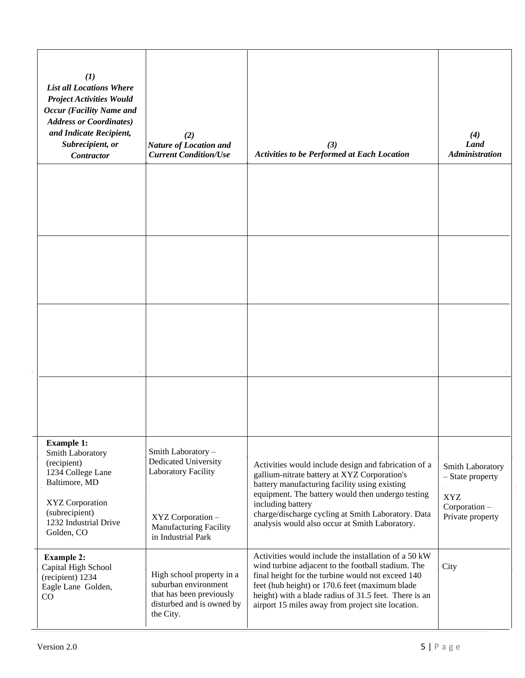| (1)<br><b>List all Locations Where</b><br><b>Project Activities Would</b><br><b>Occur</b> (Facility Name and<br><b>Address or Coordinates)</b><br>and Indicate Recipient,<br>Subrecipient, or<br>Contractor | (2)<br><b>Nature of Location and</b><br><b>Current Condition/Use</b>                                                           | (3)<br><b>Activities to be Performed at Each Location</b>                                                                                                                                                                                                                                                                               | (4)<br>Land<br><b>Administration</b>                                                    |
|-------------------------------------------------------------------------------------------------------------------------------------------------------------------------------------------------------------|--------------------------------------------------------------------------------------------------------------------------------|-----------------------------------------------------------------------------------------------------------------------------------------------------------------------------------------------------------------------------------------------------------------------------------------------------------------------------------------|-----------------------------------------------------------------------------------------|
|                                                                                                                                                                                                             |                                                                                                                                |                                                                                                                                                                                                                                                                                                                                         |                                                                                         |
|                                                                                                                                                                                                             |                                                                                                                                |                                                                                                                                                                                                                                                                                                                                         |                                                                                         |
|                                                                                                                                                                                                             |                                                                                                                                |                                                                                                                                                                                                                                                                                                                                         |                                                                                         |
| <b>Example 1:</b><br>Smith Laboratory                                                                                                                                                                       | Smith Laboratory-                                                                                                              |                                                                                                                                                                                                                                                                                                                                         |                                                                                         |
| (recipient)<br>1234 College Lane<br>Baltimore, MD<br>XYZ Corporation<br>(subrecipient)<br>1232 Industrial Drive<br>Golden, CO                                                                               | Dedicated University<br><b>Laboratory Facility</b><br>XYZ Corporation -<br><b>Manufacturing Facility</b><br>in Industrial Park | Activities would include design and fabrication of a<br>gallium-nitrate battery at XYZ Corporation's<br>battery manufacturing facility using existing<br>equipment. The battery would then undergo testing<br>including battery<br>charge/discharge cycling at Smith Laboratory. Data<br>analysis would also occur at Smith Laboratory. | Smith Laboratory<br>- State property<br><b>XYZ</b><br>Corporation -<br>Private property |
| <b>Example 2:</b><br>Capital High School<br>(recipient) 1234<br>Eagle Lane Golden,<br>$\rm CO$                                                                                                              | High school property in a<br>suburban environment<br>that has been previously<br>disturbed and is owned by<br>the City.        | Activities would include the installation of a 50 kW<br>wind turbine adjacent to the football stadium. The<br>final height for the turbine would not exceed 140<br>feet (hub height) or 170.6 feet (maximum blade<br>height) with a blade radius of 31.5 feet. There is an<br>airport 15 miles away from project site location.         | City                                                                                    |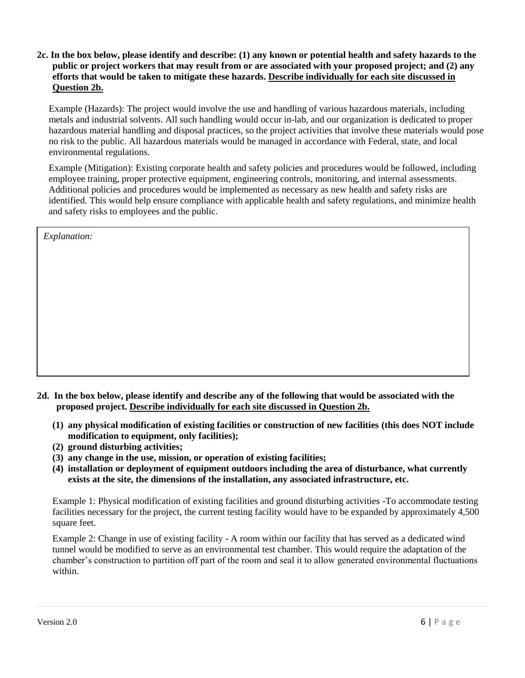**2c. In the box below, please identify and describe: (1) any known or potential health and safety hazards to the public or project workers that may result from or are associated with your proposed project; and (2) any efforts that would be taken to mitigate these hazards. Describe individually for each site discussed in Question 2b.** 

Example (Hazards): The project would involve the use and handling of various hazardous materials, including metals and industrial solvents. All such handling would occur in-lab, and our organization is dedicated to proper hazardous material handling and disposal practices, so the project activities that involve these materials would pose no risk to the public. All hazardous materials would be managed in accordance with Federal, state, and local environmental regulations.

Example (Mitigation): Existing corporate health and safety policies and procedures would be followed, including employee training, proper protective equipment, engineering controls, monitoring, and internal assessments. Additional policies and procedures would be implemented as necessary as new health and safety risks are identified. This would help ensure compliance with applicable health and safety regulations, and minimize health and safety risks to employees and the public.

| Explanation: |  |  |
|--------------|--|--|
|              |  |  |
|              |  |  |
|              |  |  |
|              |  |  |
|              |  |  |
|              |  |  |
|              |  |  |

- **2d. In the box below, please identify and describe any of the following that would be associated with the proposed project. Describe individually for each site discussed in Question 2b.** 
	- **(1) any physical modification of existing facilities or construction of new facilities (this does NOT include modification to equipment, only facilities);**
	- **(2) ground disturbing activities;**
	- **(3) any change in the use, mission, or operation of existing facilities;**
	- **(4) installation or deployment of equipment outdoors including the area of disturbance, what currently exists at the site, the dimensions of the installation, any associated infrastructure, etc.**

Example 1: Physical modification of existing facilities and ground disturbing activities -To accommodate testing facilities necessary for the project, the current testing facility would have to be expanded by approximately 4,500 square feet.

Example 2: Change in use of existing facility - A room within our facility that has served as a dedicated wind tunnel would be modified to serve as an environmental test chamber. This would require the adaptation of the chamber's construction to partition off part of the room and seal it to allow generated environmental fluctuations within.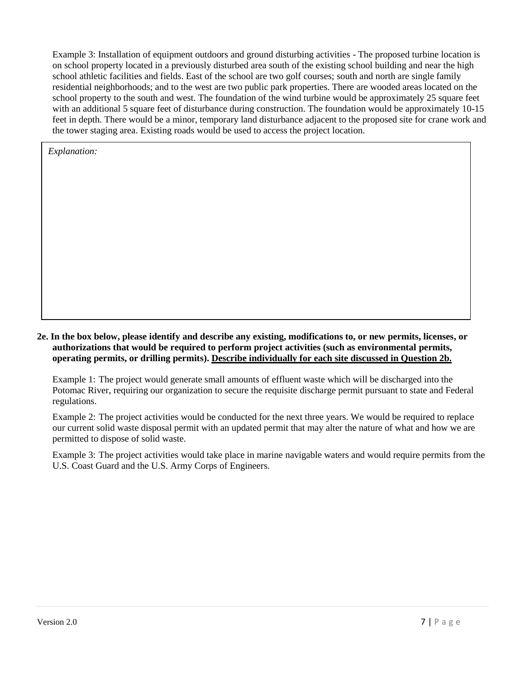Example 3: Installation of equipment outdoors and ground disturbing activities - The proposed turbine location is on school property located in a previously disturbed area south of the existing school building and near the high school athletic facilities and fields. East of the school are two golf courses; south and north are single family residential neighborhoods; and to the west are two public park properties. There are wooded areas located on the school property to the south and west. The foundation of the wind turbine would be approximately 25 square feet with an additional 5 square feet of disturbance during construction. The foundation would be approximately 10-15 feet in depth. There would be a minor, temporary land disturbance adjacent to the proposed site for crane work and the tower staging area. Existing roads would be used to access the project location.

*Explanation:*

### **2e. In the box below, please identify and describe any existing, modifications to, or new permits, licenses, or authorizations that would be required to perform project activities (such as environmental permits, operating permits, or drilling permits). Describe individually for each site discussed in Question 2b.**

Example 1: The project would generate small amounts of effluent waste which will be discharged into the Potomac River, requiring our organization to secure the requisite discharge permit pursuant to state and Federal regulations.

Example 2: The project activities would be conducted for the next three years. We would be required to replace our current solid waste disposal permit with an updated permit that may alter the nature of what and how we are permitted to dispose of solid waste.

Example 3: The project activities would take place in marine navigable waters and would require permits from the U.S. Coast Guard and the U.S. Army Corps of Engineers.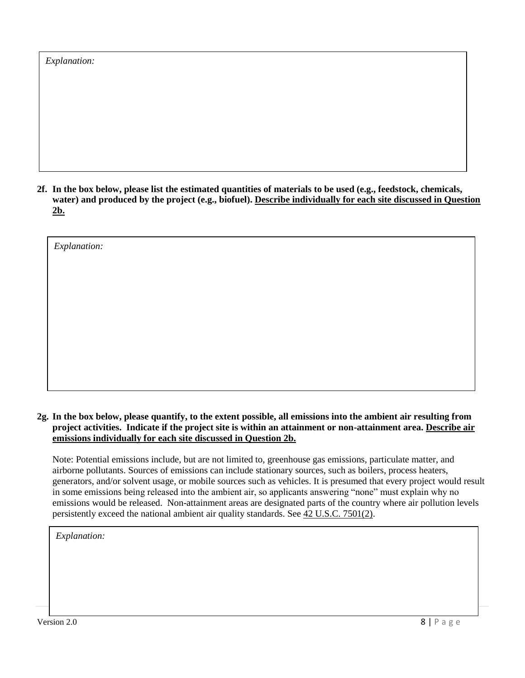| <i>Explanation:</i> |
|---------------------|
|---------------------|

*Explanation:*

**2f. In the box below, please list the estimated quantities of materials to be used (e.g., feedstock, chemicals, water) and produced by the project (e.g., biofuel). Describe individually for each site discussed in Question 2b.** 

**2g. In the box below, please quantify, to the extent possible, all emissions into the ambient air resulting from project activities. Indicate if the project site is within an attainment or non-attainment area. Describe air emissions individually for each site discussed in Question 2b.**

Note: Potential emissions include, but are not limited to, greenhouse gas emissions, particulate matter, and airborne pollutants. Sources of emissions can include stationary sources, such as boilers, process heaters, generators, and/or solvent usage, or mobile sources such as vehicles. It is presumed that every project would result in some emissions being released into the ambient air, so applicants answering "none" must explain why no emissions would be released. Non-attainment areas are designated parts of the country where air pollution levels persistently exceed the national ambient air quality standards. See 42 U.S.C. 7501(2).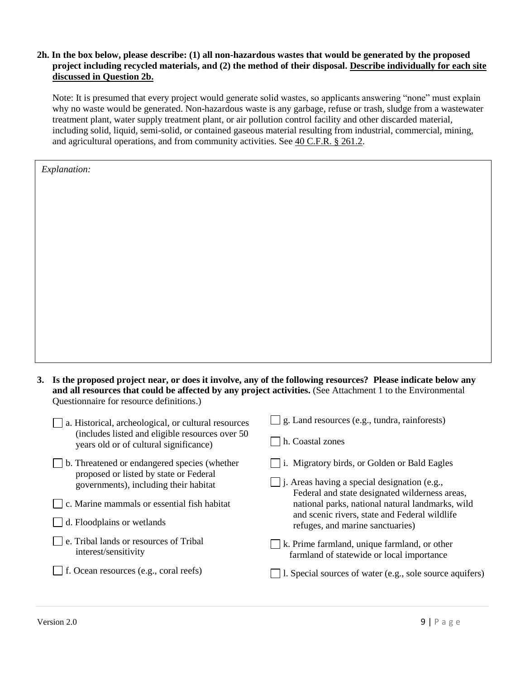### **2h. In the box below, please describe: (1) all non-hazardous wastes that would be generated by the proposed project including recycled materials, and (2) the method of their disposal. Describe individually for each site discussed in Question 2b.**

Note: It is presumed that every project would generate solid wastes, so applicants answering "none" must explain why no waste would be generated. Non-hazardous waste is any garbage, refuse or trash, sludge from a wastewater treatment plant, water supply treatment plant, or air pollution control facility and other discarded material, including solid, liquid, semi-solid, or contained gaseous material resulting from industrial, commercial, mining, and agricultural operations, and from community activities. See 40 C.F.R. § 261.2.

| 3. Is the proposed project near, or does it involve, any of the following resources? Please indicate below any |
|----------------------------------------------------------------------------------------------------------------|
| and all resources that could be affected by any project activities. (See Attachment 1 to the Environmental     |
| Questionnaire for resource definitions.)                                                                       |

| a. Historical, archeological, or cultural resources                                       | g. Land resources (e.g., tundra, rainforests)                                                         |
|-------------------------------------------------------------------------------------------|-------------------------------------------------------------------------------------------------------|
| (includes listed and eligible resources over 50<br>years old or of cultural significance) | h. Coastal zones                                                                                      |
| b. Threatened or endangered species (whether                                              | i. Migratory birds, or Golden or Bald Eagles                                                          |
| proposed or listed by state or Federal<br>governments), including their habitat           | $\Box$ j. Areas having a special designation (e.g.,<br>Federal and state designated wilderness areas, |
| c. Marine mammals or essential fish habitat                                               | national parks, national natural landmarks, wild<br>and scenic rivers, state and Federal wildlife     |
| d. Floodplains or wetlands                                                                | refuges, and marine sanctuaries)                                                                      |
| e. Tribal lands or resources of Tribal<br>interest/sensitivity                            | k. Prime farmland, unique farmland, or other<br>farmland of statewide or local importance             |
| f. Ocean resources (e.g., coral reefs)                                                    | 1. Special sources of water (e.g., sole source aquifers)                                              |
|                                                                                           |                                                                                                       |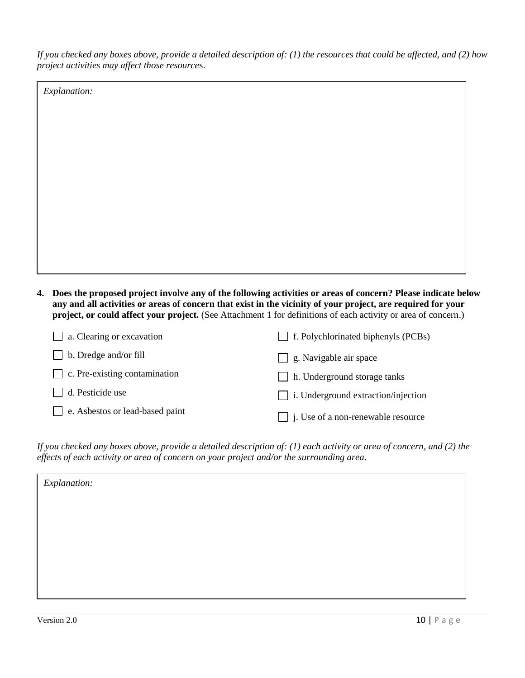*If you checked any boxes above, provide a detailed description of: (1) the resources that could be affected, and (2) how project activities may affect those resource*s.

*Explanation:* 

| 4. Does the proposed project involve any of the following activities or areas of concern? Please indicate below |
|-----------------------------------------------------------------------------------------------------------------|
| any and all activities or areas of concern that exist in the vicinity of your project, are required for your    |
| project, or could affect your project. (See Attachment 1 for definitions of each activity or area of concern.)  |

| $\Box$ a. Clearing or excavation     | $\Box$ f. Polychlorinated biphenyls (PCBs) |
|--------------------------------------|--------------------------------------------|
| b. Dredge and/or fill                | $\Box$ g. Navigable air space              |
| $\Box$ c. Pre-existing contamination | h. Underground storage tanks               |
| d. Pesticide use                     | $\Box$ i. Underground extraction/injection |
| e. Asbestos or lead-based paint      | $\Box$ j. Use of a non-renewable resource  |

*If you checked any boxes above, provide a detailed description of: (1) each activity or area of concern, and (2) the effects of each activity or area of concern on your project and/or the surrounding area*.

| Explanation: |  |  |
|--------------|--|--|
|              |  |  |
|              |  |  |
|              |  |  |
|              |  |  |
|              |  |  |
|              |  |  |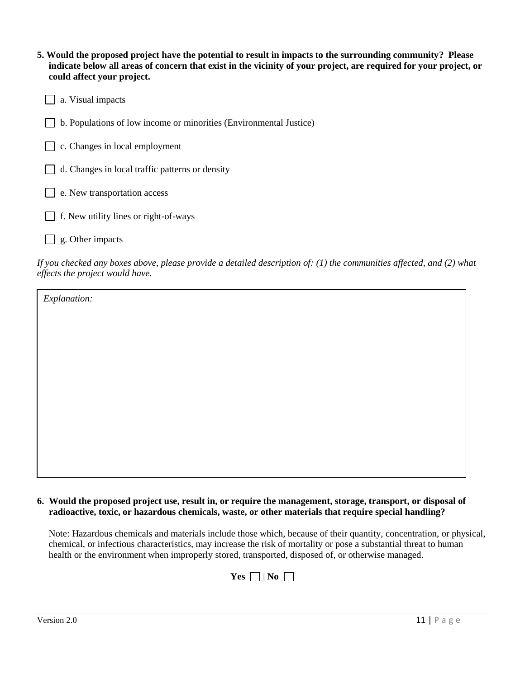| 5. Would the proposed project have the potential to result in impacts to the surrounding community? Please        |
|-------------------------------------------------------------------------------------------------------------------|
| indicate below all areas of concern that exist in the vicinity of your project, are required for your project, or |
| could affect your project.                                                                                        |

b. Populations of low income or minorities (Environmental Justice)

|  | $\Box$ c. Changes in local employment |
|--|---------------------------------------|
|  |                                       |

 $\Box$  d. Changes in local traffic patterns or density

|  |  | e. New transportation access |  |
|--|--|------------------------------|--|
|--|--|------------------------------|--|

- $\Box$  f. New utility lines or right-of-ways
- $\Box$  g. Other impacts

*If you checked any boxes above, please provide a detailed description of: (1) the communities affected, and (2) what effects the project would have.* 

*Explanation:* 

| 6. Would the proposed project use, result in, or require the management, storage, transport, or disposal of |
|-------------------------------------------------------------------------------------------------------------|
| radioactive, toxic, or hazardous chemicals, waste, or other materials that require special handling?        |

Note: Hazardous chemicals and materials include those which, because of their quantity, concentration, or physical, chemical, or infectious characteristics, may increase the risk of mortality or pose a substantial threat to human health or the environment when improperly stored, transported, disposed of, or otherwise managed.

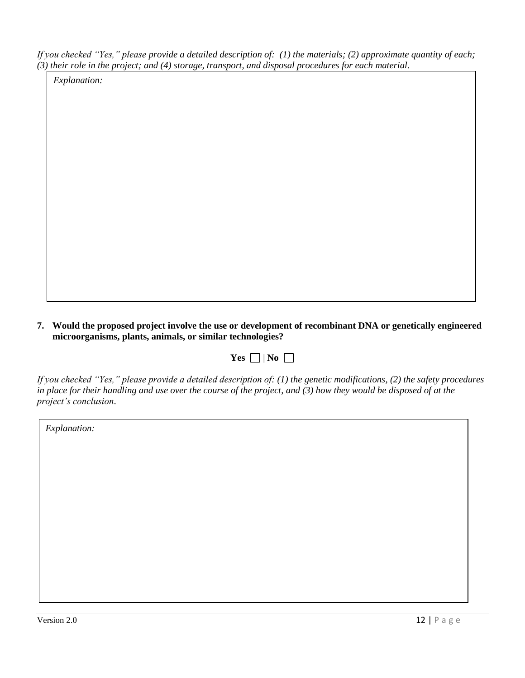*If you checked "Yes," please provide a detailed description of: (1) the materials; (2) approximate quantity of each; (3) their role in the project; and (4) storage, transport, and disposal procedures for each material*.

*Explanation:*

**7. Would the proposed project involve the use or development of recombinant DNA or genetically engineered microorganisms, plants, animals, or similar technologies?**

| -- |  | N 1 I |  |
|----|--|-------|--|
|----|--|-------|--|

*If you checked "Yes," please provide a detailed description of: (1) the genetic modifications, (2) the safety procedures*  in place for their handling and use over the course of the project, and (3) how they would be disposed of at the *project's conclusion*.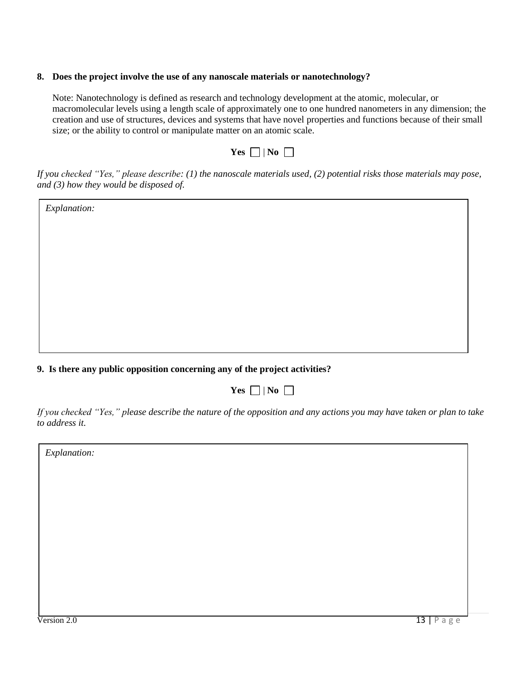#### **8. Does the project involve the use of any nanoscale materials or nanotechnology?**

Note: Nanotechnology is defined as research and technology development at the atomic, molecular, or macromolecular levels using a length scale of approximately one to one hundred nanometers in any dimension; the creation and use of structures, devices and systems that have novel properties and functions because of their small size; or the ability to control or manipulate matter on an atomic scale.

|  | н<br>٠ |  |
|--|--------|--|
|--|--------|--|

*If you checked "Yes," please describe: (1) the nanoscale materials used, (2) potential risks those materials may pose, and (3) how they would be disposed of.* 

*Explanation:*

## **9. Is there any public opposition concerning any of the project activities?**

| $- -$ |  | NO. |  |
|-------|--|-----|--|
|-------|--|-----|--|

*If you checked "Yes," please describe the nature of the opposition and any actions you may have taken or plan to take to address it.*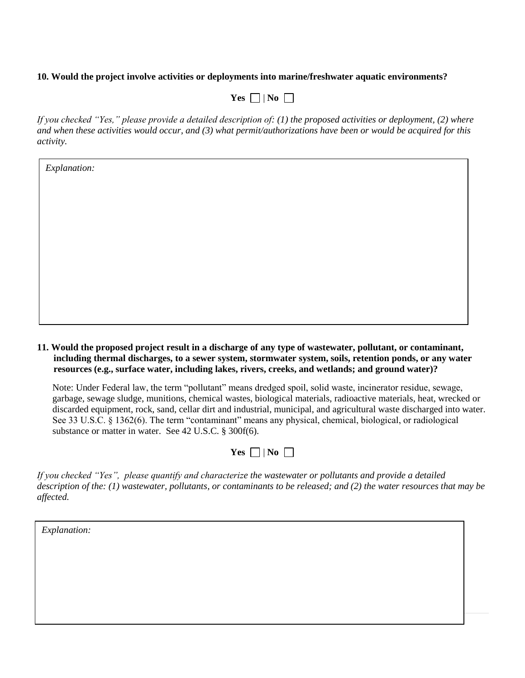#### **10. Would the project involve activities or deployments into marine/freshwater aquatic environments?**

| I<br>٠ |  |  |
|--------|--|--|
|--------|--|--|

*If you checked "Yes," please provide a detailed description of: (1) the proposed activities or deployment, (2) where and when these activities would occur, and (3) what permit/authorizations have been or would be acquired for this activity.*

*Explanation:*

**11. Would the proposed project result in a discharge of any type of wastewater, pollutant, or contaminant, including thermal discharges, to a sewer system, stormwater system, soils, retention ponds, or any water resources (e.g., surface water, including lakes, rivers, creeks, and wetlands; and ground water)?** 

Note: Under Federal law, the term "pollutant" means dredged spoil, solid waste, incinerator residue, sewage, garbage, sewage sludge, munitions, chemical wastes, biological materials, radioactive materials, heat, wrecked or discarded equipment, rock, sand, cellar dirt and industrial, municipal, and agricultural waste discharged into water. See 33 U.S.C. § 1362(6). The term "contaminant" means any physical, chemical, biological, or radiological substance or matter in water. See 42 U.S.C. § 300f(6)*.* 

| P.<br>ı<br>ı | w |  |
|--------------|---|--|
|--------------|---|--|

*If you checked "Yes", please quantify and characterize the wastewater or pollutants and provide a detailed description of the: (1) wastewater, pollutants, or contaminants to be released; and (2) the water resources that may be affected.*

| Explanation: |  |  |  |
|--------------|--|--|--|
|              |  |  |  |
|              |  |  |  |
|              |  |  |  |
|              |  |  |  |

Version 2.0 14 in 2.0 14 in 2.0 14 in 2.0 14 in 2.0 14 in 2.0 14 in 2.0 14 in 2.0 14 in 2.0 14 in 2.0 14 in 2.<br>Provincial contract of the contract of the contract of the contract of the contract of the contract of the con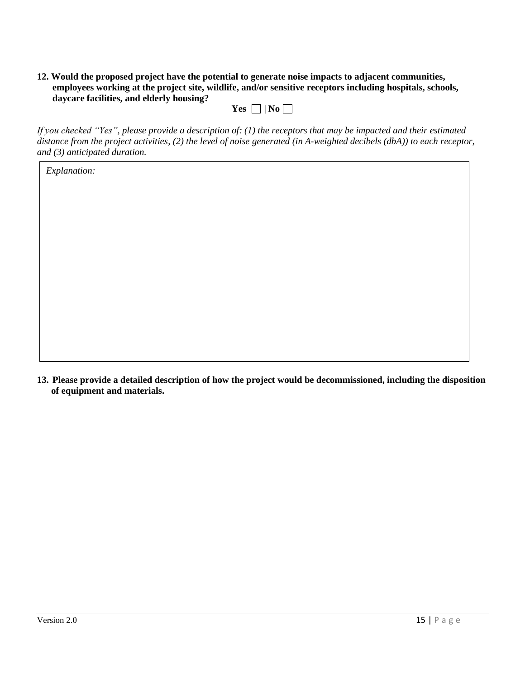**12. Would the proposed project have the potential to generate noise impacts to adjacent communities, employees working at the project site, wildlife, and/or sensitive receptors including hospitals, schools, daycare facilities, and elderly housing?**

| P. | NO |
|----|----|
|----|----|

*If you checked "Yes", please provide a description of: (1) the receptors that may be impacted and their estimated distance from the project activities, (2) the level of noise generated (in A-weighted decibels (dbA)) to each receptor, and (3) anticipated duration.* 

*Explanation:*

**13. Please provide a detailed description of how the project would be decommissioned, including the disposition of equipment and materials.**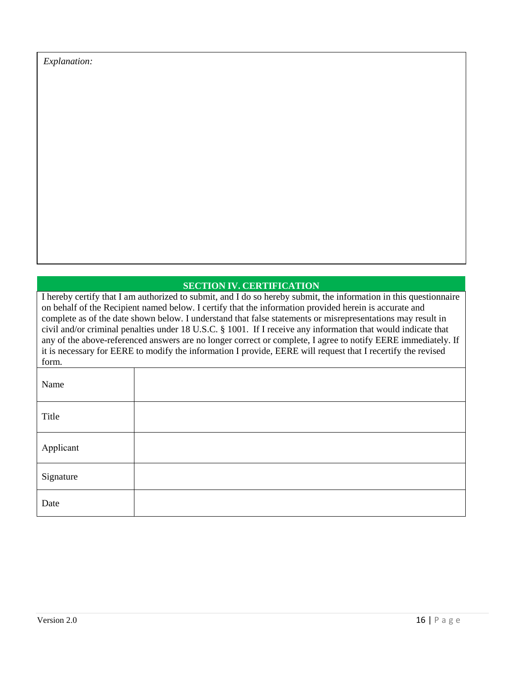*Explanation:*

## **SECTION IV. CERTIFICATION**

I hereby certify that I am authorized to submit, and I do so hereby submit, the information in this questionnaire on behalf of the Recipient named below. I certify that the information provided herein is accurate and complete as of the date shown below. I understand that false statements or misrepresentations may result in civil and/or criminal penalties under 18 U.S.C. § 1001. If I receive any information that would indicate that any of the above-referenced answers are no longer correct or complete, I agree to notify EERE immediately. If it is necessary for EERE to modify the information I provide, EERE will request that I recertify the revised form.

| Name      |  |
|-----------|--|
| Title     |  |
| Applicant |  |
| Signature |  |
| Date      |  |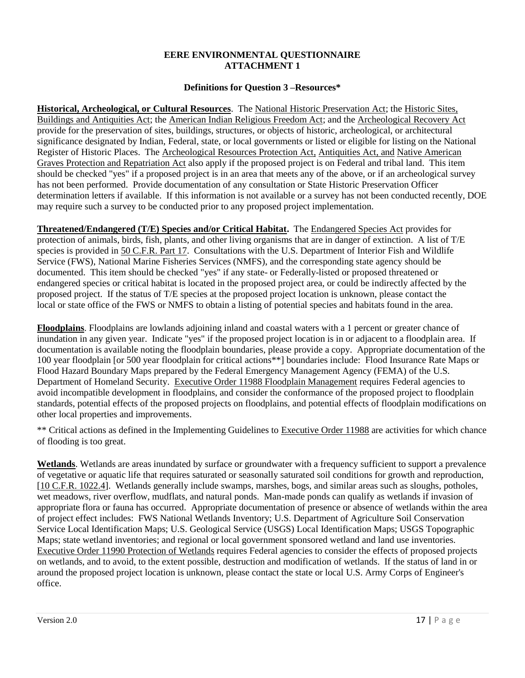## **EERE ENVIRONMENTAL QUESTIONNAIRE ATTACHMENT 1**

### **Definitions for Question 3 –Resources\***

**Historical, Archeological, or Cultural Resources**. The National Historic Preservation Act; the Historic Sites, Buildings and Antiquities Act; the American Indian Religious Freedom Act; and the Archeological Recovery Act provide for the preservation of sites, buildings, structures, or objects of historic, archeological, or architectural significance designated by Indian, Federal, state, or local governments or listed or eligible for listing on the National Register of Historic Places. The Archeological Resources Protection Act, Antiquities Act, and Native American Graves Protection and Repatriation Act also apply if the proposed project is on Federal and tribal land. This item should be checked "yes" if a proposed project is in an area that meets any of the above, or if an archeological survey has not been performed. Provide documentation of any consultation or State Historic Preservation Officer determination letters if available. If this information is not available or a survey has not been conducted recently, DOE may require such a survey to be conducted prior to any proposed project implementation.

**Threatened/Endangered (T/E) Species and/or Critical Habitat.** The Endangered Species Act provides for protection of animals, birds, fish, plants, and other living organisms that are in danger of extinction. A list of T/E species is provided in 50 C.F.R. Part 17. Consultations with the U.S. Department of Interior Fish and Wildlife Service (FWS), National Marine Fisheries Services (NMFS), and the corresponding state agency should be documented. This item should be checked "yes" if any state- or Federally-listed or proposed threatened or endangered species or critical habitat is located in the proposed project area, or could be indirectly affected by the proposed project. If the status of T/E species at the proposed project location is unknown, please contact the local or state office of the FWS or NMFS to obtain a listing of potential species and habitats found in the area.

**Floodplains**. Floodplains are lowlands adjoining inland and coastal waters with a 1 percent or greater chance of inundation in any given year. Indicate "yes" if the proposed project location is in or adjacent to a floodplain area. If documentation is available noting the floodplain boundaries, please provide a copy. Appropriate documentation of the 100 year floodplain [or 500 year floodplain for critical actions\*\*] boundaries include: Flood Insurance Rate Maps or Flood Hazard Boundary Maps prepared by the Federal Emergency Management Agency (FEMA) of the U.S. Department of Homeland Security. Executive Order 11988 Floodplain Management requires Federal agencies to avoid incompatible development in floodplains, and consider the conformance of the proposed project to floodplain standards, potential effects of the proposed projects on floodplains, and potential effects of floodplain modifications on other local properties and improvements.

\*\* Critical actions as defined in the Implementing Guidelines to Executive Order 11988 are activities for which chance of flooding is too great.

**Wetlands**. Wetlands are areas inundated by surface or groundwater with a frequency sufficient to support a prevalence of vegetative or aquatic life that requires saturated or seasonally saturated soil conditions for growth and reproduction, [10 C.F.R. 1022.4]. Wetlands generally include swamps, marshes, bogs, and similar areas such as sloughs, potholes, wet meadows, river overflow, mudflats, and natural ponds. Man-made ponds can qualify as wetlands if invasion of appropriate flora or fauna has occurred. Appropriate documentation of presence or absence of wetlands within the area of project effect includes: FWS National Wetlands Inventory; U.S. Department of Agriculture Soil Conservation Service Local Identification Maps; U.S. Geological Service (USGS) Local Identification Maps; USGS Topographic Maps; state wetland inventories; and regional or local government sponsored wetland and land use inventories. Executive Order 11990 Protection of Wetlands requires Federal agencies to consider the effects of proposed projects on wetlands, and to avoid, to the extent possible, destruction and modification of wetlands. If the status of land in or around the proposed project location is unknown, please contact the state or local U.S. Army Corps of Engineer's office.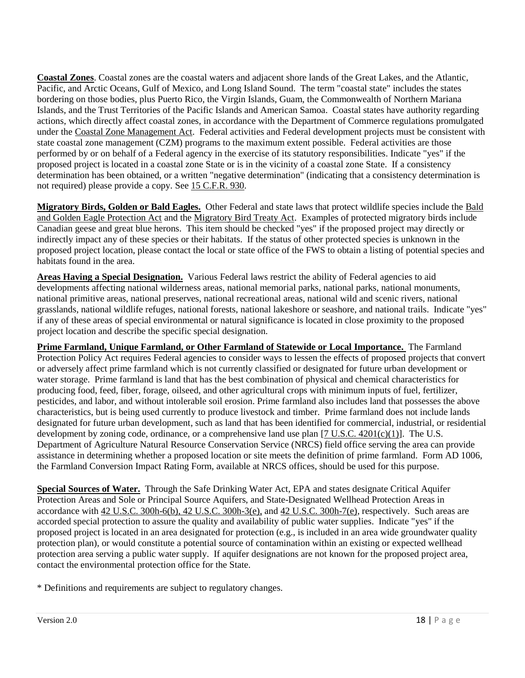**Coastal Zones**. Coastal zones are the coastal waters and adjacent shore lands of the Great Lakes, and the Atlantic, Pacific, and Arctic Oceans, Gulf of Mexico, and Long Island Sound. The term "coastal state" includes the states bordering on those bodies, plus Puerto Rico, the Virgin Islands, Guam, the Commonwealth of Northern Mariana Islands, and the Trust Territories of the Pacific Islands and American Samoa. Coastal states have authority regarding actions, which directly affect coastal zones, in accordance with the Department of Commerce regulations promulgated under the Coastal Zone Management Act. Federal activities and Federal development projects must be consistent with state coastal zone management (CZM) programs to the maximum extent possible. Federal activities are those performed by or on behalf of a Federal agency in the exercise of its statutory responsibilities. Indicate "yes" if the proposed project is located in a coastal zone State or is in the vicinity of a coastal zone State. If a consistency determination has been obtained, or a written "negative determination" (indicating that a consistency determination is not required) please provide a copy. See 15 C.F.R. 930.

**Migratory Birds, Golden or Bald Eagles.** Other Federal and state laws that protect wildlife species include the Bald and Golden Eagle Protection Act and the Migratory Bird Treaty Act. Examples of protected migratory birds include Canadian geese and great blue herons. This item should be checked "yes" if the proposed project may directly or indirectly impact any of these species or their habitats. If the status of other protected species is unknown in the proposed project location, please contact the local or state office of the FWS to obtain a listing of potential species and habitats found in the area.

**Areas Having a Special Designation.** Various Federal laws restrict the ability of Federal agencies to aid developments affecting national wilderness areas, national memorial parks, national parks, national monuments, national primitive areas, national preserves, national recreational areas, national wild and scenic rivers, national grasslands, national wildlife refuges, national forests, national lakeshore or seashore, and national trails. Indicate "yes" if any of these areas of special environmental or natural significance is located in close proximity to the proposed project location and describe the specific special designation.

**Prime Farmland, Unique Farmland, or Other Farmland of Statewide or Local Importance.** The Farmland Protection Policy Act requires Federal agencies to consider ways to lessen the effects of proposed projects that convert or adversely affect prime farmland which is not currently classified or designated for future urban development or water storage. Prime farmland is land that has the best combination of physical and chemical characteristics for producing food, feed, fiber, forage, oilseed, and other agricultural crops with minimum inputs of fuel, fertilizer, pesticides, and labor, and without intolerable soil erosion. Prime farmland also includes land that possesses the above characteristics, but is being used currently to produce livestock and timber. Prime farmland does not include lands designated for future urban development, such as land that has been identified for commercial, industrial, or residential development by zoning code, ordinance, or a comprehensive land use plan  $[7 \text{ U.S. C. } 4201 \text{ (c)}(1)]$ . The U.S. Department of Agriculture Natural Resource Conservation Service (NRCS) field office serving the area can provide assistance in determining whether a proposed location or site meets the definition of prime farmland. Form AD 1006, the Farmland Conversion Impact Rating Form, available at NRCS offices, should be used for this purpose.

**Special Sources of Water.** Through the Safe Drinking Water Act, EPA and states designate Critical Aquifer Protection Areas and Sole or Principal Source Aquifers, and State-Designated Wellhead Protection Areas in accordance with  $42$  U.S.C. 300h-6(b),  $42$  U.S.C. 300h-3(e), and  $42$  U.S.C. 300h-7(e), respectively. Such areas are accorded special protection to assure the quality and availability of public water supplies. Indicate "yes" if the proposed project is located in an area designated for protection (e.g., is included in an area wide groundwater quality protection plan), or would constitute a potential source of contamination within an existing or expected wellhead protection area serving a public water supply. If aquifer designations are not known for the proposed project area, contact the environmental protection office for the State.

\* Definitions and requirements are subject to regulatory changes.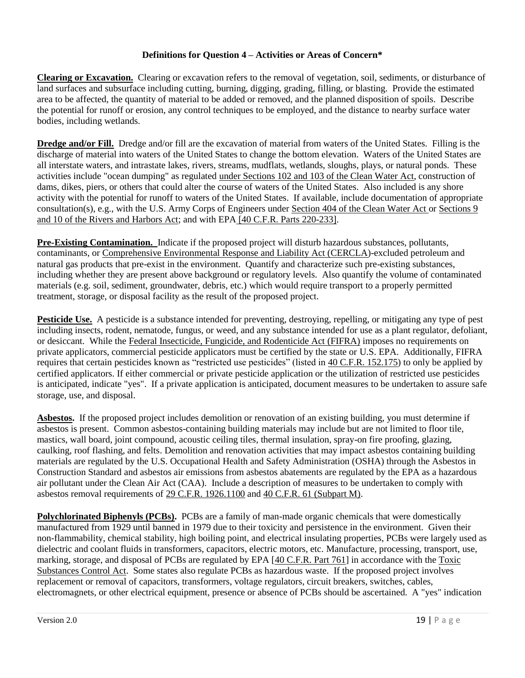## **Definitions for Question 4 – Activities or Areas of Concern\***

**Clearing or Excavation.** Clearing or excavation refers to the removal of vegetation, soil, sediments, or disturbance of land surfaces and subsurface including cutting, burning, digging, grading, filling, or blasting. Provide the estimated area to be affected, the quantity of material to be added or removed, and the planned disposition of spoils. Describe the potential for runoff or erosion, any control techniques to be employed, and the distance to nearby surface water bodies, including wetlands.

**Dredge and/or Fill.** Dredge and/or fill are the excavation of material from waters of the United States. Filling is the discharge of material into waters of the United States to change the bottom elevation. Waters of the United States are all interstate waters, and intrastate lakes, rivers, streams, mudflats, wetlands, sloughs, plays, or natural ponds. These activities include "ocean dumping" as regulated under Sections 102 and 103 of the Clean Water Act, construction of dams, dikes, piers, or others that could alter the course of waters of the United States. Also included is any shore activity with the potential for runoff to waters of the United States. If available, include documentation of appropriate consultation(s), e.g., with the U.S. Army Corps of Engineers under Section 404 of the Clean Water Act or Sections 9 and 10 of the Rivers and Harbors Act; and with EPA [40 C.F.R. Parts 220-233].

**Pre-Existing Contamination.** Indicate if the proposed project will disturb hazardous substances, pollutants, contaminants, or Comprehensive Environmental Response and Liability Act (CERCLA)-excluded petroleum and natural gas products that pre-exist in the environment. Quantify and characterize such pre-existing substances, including whether they are present above background or regulatory levels. Also quantify the volume of contaminated materials (e.g. soil, sediment, groundwater, debris, etc.) which would require transport to a properly permitted treatment, storage, or disposal facility as the result of the proposed project.

**Pesticide Use.** A pesticide is a substance intended for preventing, destroying, repelling, or mitigating any type of pest including insects, rodent, nematode, fungus, or weed, and any substance intended for use as a plant regulator, defoliant, or desiccant. While the Federal Insecticide, Fungicide, and Rodenticide Act (FIFRA) imposes no requirements on private applicators, commercial pesticide applicators must be certified by the state or U.S. EPA. Additionally, FIFRA requires that certain pesticides known as "restricted use pesticides" (listed in 40 C.F.R. 152.175) to only be applied by certified applicators. If either commercial or private pesticide application or the utilization of restricted use pesticides is anticipated, indicate "yes". If a private application is anticipated, document measures to be undertaken to assure safe storage, use, and disposal.

**Asbestos.** If the proposed project includes demolition or renovation of an existing building, you must determine if asbestos is present. Common asbestos-containing building materials may include but are not limited to floor tile, mastics, wall board, joint compound, acoustic ceiling tiles, thermal insulation, spray-on fire proofing, glazing, caulking, roof flashing, and felts. Demolition and renovation activities that may impact asbestos containing building materials are regulated by the U.S. Occupational Health and Safety Administration (OSHA) through the Asbestos in Construction Standard and asbestos air emissions from asbestos abatements are regulated by the EPA as a hazardous air pollutant under the Clean Air Act (CAA). Include a description of measures to be undertaken to comply with asbestos removal requirements of 29 C.F.R. 1926.1100 and 40 C.F.R. 61 (Subpart M).

**Polychlorinated Biphenyls (PCBs).** PCBs are a family of man-made organic chemicals that were domestically manufactured from 1929 until banned in 1979 due to their toxicity and persistence in the environment. Given their non-flammability, chemical stability, high boiling point, and electrical insulating properties, PCBs were largely used as dielectric and coolant fluids in transformers, capacitors, electric motors, etc. Manufacture, processing, transport, use, marking, storage, and disposal of PCBs are regulated by EPA [40 C.F.R. Part 761] in accordance with the Toxic Substances Control Act. Some states also regulate PCBs as hazardous waste. If the proposed project involves replacement or removal of capacitors, transformers, voltage regulators, circuit breakers, switches, cables, electromagnets, or other electrical equipment, presence or absence of PCBs should be ascertained. A "yes" indication